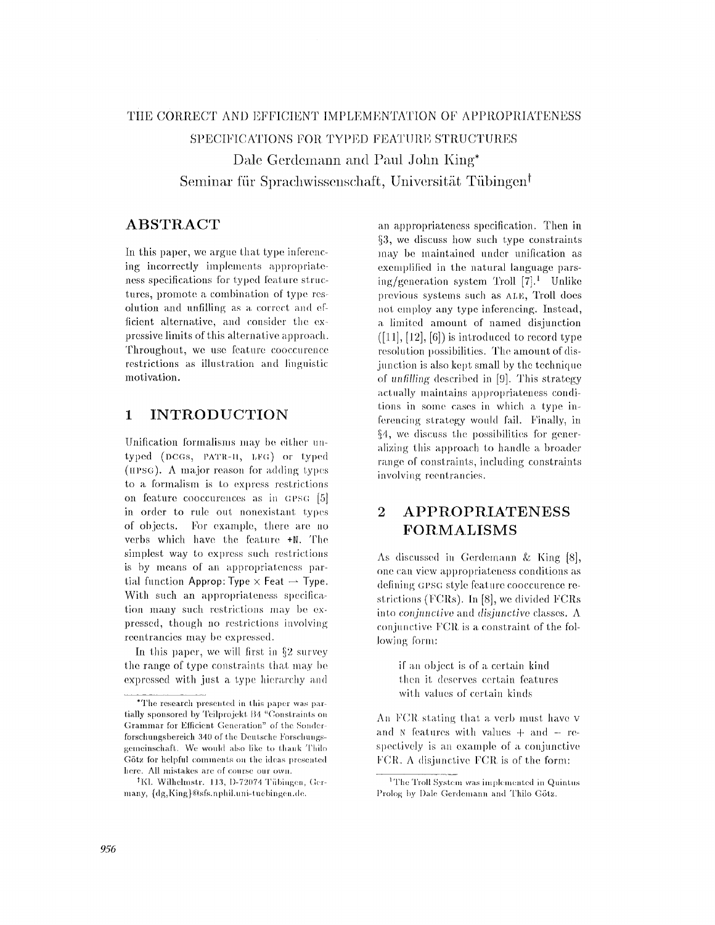# THE CORRECT AND EFFICIENT IMPLEMENTATION OF APPROPRIATENESS SPECIFICATIONS FOR TYPED FEATURE STRUCTURES Dale Gerdemann and Paul John King\* Seminar für Sprachwissenschaft, Universität Tübingen<sup>t</sup>

## **ABSTRACT**

In this paper, we argue that type inferencing incorrectly implements appropriateness specifications for typed feature structures, promote a combination of type resolution and unfilling as a correct and efficient alternative, and consider the expressive limits of this alternative approach. Throughout, we use feature cooccurence restrictions as illustration and linguistic motivation.

### **INTRODUCTION**  $\mathbf{1}$

Unification formalisms may be either untyped (DCGs, PATR-II, LFG) or typed (HPSG). A major reason for adding types to a formalism is to express restrictions on feature cooccurences as in GPSG [5] in order to rule out nonexistant types of objects. For example, there are no verbs which have the feature +N. The simplest way to express such restrictions is by means of an appropriateness partial function Approp: Type  $\times$  Feat  $\rightarrow$  Type. With such an appropriateness specification many such restrictions may be expressed, though no restrictions involving reentrancies may be expressed.

In this paper, we will first in  $\S 2$  survey the range of type constraints that may be expressed with just a type hierarchy and

an appropriateness specification. Then in §3, we discuss how such type constraints may be maintained under unification as exemplified in the natural language parsing/generation system Troll  $[7]$ <sup>1</sup> Unlike previous systems such as ALE, Troll does not employ any type inferencing. Instead, a limited amount of named disjunction  $(111, 121, 61)$  is introduced to record type resolution possibilities. The amount of disjunction is also kept small by the technique of unfilling described in [9]. This strategy actually maintains appropriateness conditions in some cases in which a type inferencing strategy would fail. Finally, in §4, we discuss the possibilities for generalizing this approach to handle a broader range of constraints, including constraints involving reentrancies.

### $\overline{2}$ APPROPRIATENESS FORMALISMS

As discussed in Gerdemann & King [8], one can view appropriateness conditions as defining GPSG style feature cooccurence restrictions (FCRs). In [8], we divided FCRs into conjunctive and disjunctive classes.  $\Lambda$ conjunctive FCR is a constraint of the following form:

> if an object is of a certain kind then it deserves certain features with values of certain kinds

An FCR stating that a verb must have v and N features with values  $+$  and  $-$  respectively is an example of a conjunctive FCR. A disjunctive FCR is of the form:

<sup>\*</sup>The research presented in this paper was partially sponsored by Teilprojekt B4 "Constraints on Grammar for Efficient Generation" of the Sonderforschungsbereich 340 of the Deutsche Forschungsgemeinschaft. We would also like to thank Thilo Götz for helpful comments on the ideas presented here. All mistakes are of course our own.

<sup>&</sup>lt;sup>†</sup>Kl. Wilhelmstr. 113, D-72074 Tübingen, Germany, {dg,King}@sfs.nphil.uni-tuebingen.de.

<sup>&</sup>lt;sup>1</sup>The Troll System was implemented in Quintus Prolog by Dale Gerdemann and Thilo Götz.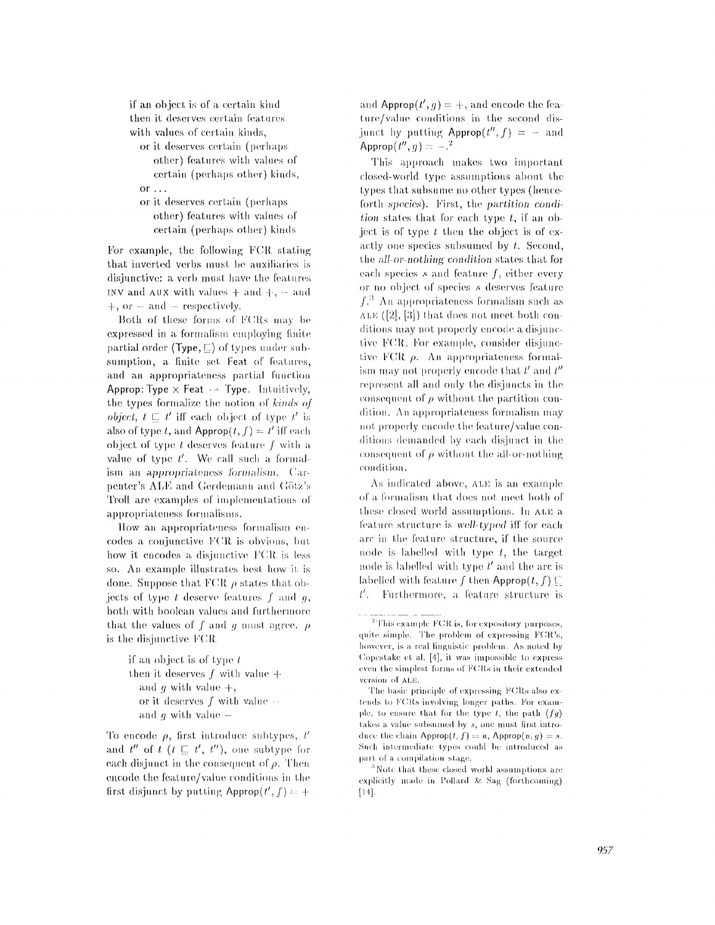if an object is of a certain kind then it deserves certain features with values of certain kinds.

or it deserves certain (perhaps other) features with values of certain (perhaps other) kinds, or  $\ldots$ 

or it deserves certain (perhaps other) features with values of certain (perhaps other) kinds

For example, the following FCR stating that inverted verbs must be auxiliaries is disjunctive: a verb must have the features INV and  $AUX$  with values  $+$  and  $+$ ,  $-$  and  $+$ , or  $-$  and  $-$  respectively.

Both of these forms of FCRs may be expressed in a formalism employing finite partial order (Type,  $\Box$ ) of types under subsumption, a finite set Feat of features, and an appropriateness partial function Approp: Type  $\times$  Feat  $\rightarrow$  Type. Intuitively, the types formalize the notion of kinds of *object*,  $t \in t'$  iff each object of type  $t'$  is also of type t, and Approp $(t, f) = t'$  iff each object of type  $t$  deserves feature  $f$  with a value of type  $t'$ . We call such a formalism an *appropriateness formalism*. Carpenter's ALE and Gerdemann and Götz's Troll are examples of implementations of appropriateness formalisms.

How an appropriateness formalism encodes a conjunctive FCR is obvious, but how it encodes a disjunctive FCR is less so. An example illustrates best how it is done. Suppose that FCR  $\rho$  states that objects of type  $t$  deserve features  $f$  and  $g$ , both with boolean values and furthermore that the values of f and q must agree.  $\rho$ is the disjunctive FCR

> if an object is of type  $t$ then it deserves  $f$  with value  $+$ and g with value  $+,$ or it deserves  $f$  with value  $\cdots$ and  $g$  with value  $-$

To encode  $\rho$ , first introduce subtypes, t' and  $t''$  of  $t$   $(t \sqsubset t', t'')$ , one subtype for each disjunct in the consequent of  $\rho$ . Then encode the feature/value conditions in the first disjunct by putting Approp $(t', f) = +$ 

and Approp $(t', q) = +$ , and encode the feature/value conditions in the second disjunct by putting  $\text{Approp}(t'', f) = -$  and Approp $(t'', g) = -1$ <sup>2</sup>

This approach makes two important closed-world type assumptions about the types that subsume no other types (henceforth species). First, the partition condition states that for each type  $t$ , if an object is of type  $t$  then the object is of exactly one species subsumed by  $t$ . Second, the all-or-nothing condition states that for each species s and feature  $f$ , either every or no object of species s deserves feature  $f<sup>3</sup>$ . An appropriateness formalism such as  $ALE([2], [3])$  that does not meet both conditions may not properly encode a disjunctive FCR. For example, consider disjunctive FCR  $\rho$ . An appropriateness formalism may not properly encode that  $t'$  and  $t''$ represent all and only the disjuncts in the consequent of  $\rho$  without the partition condition. An appropriateness formalism may not properly encode the feature/value conditions demanded by each disjunct in the consequent of  $\rho$  without the all-or-nothing condition.

As indicated above, ALE is an example of a formalism that does not meet both of these closed world assumptions. In ALE a feature structure is well-typed iff for each arc in the feature structure, if the source node is labelled with type  $t$ , the target node is labelled with type  $t'$  and the arc is labelled with feature f then Approp $(t, f) \sqsubseteq$  $t'$ . Furthermore, a feature structure is

<sup>&</sup>lt;sup>2</sup>This example FCR is, for expository purposes, quite simple. The problem of expressing FCR's, however, is a real linguistic problem. As noted by Copestake et al. [4], it was impossible to express even the simplest forms of FCRs in their extended version of ALE.

The basic principle of expressing FCRs also extends to FCRs involving longer paths. For example, to ensure that for the type t, the path  $(fq)$ takes a value subsuined by s, one must first introduce the chain Approp $(t, f) = u$ , Approp $(u, g) = s$ . Such intermediate types could be introduced as part of a compilation stage.

 $3$  Note that these closed world assumptions are explicitly made in Pollard & Sag (forthcoming)  $[14]$ .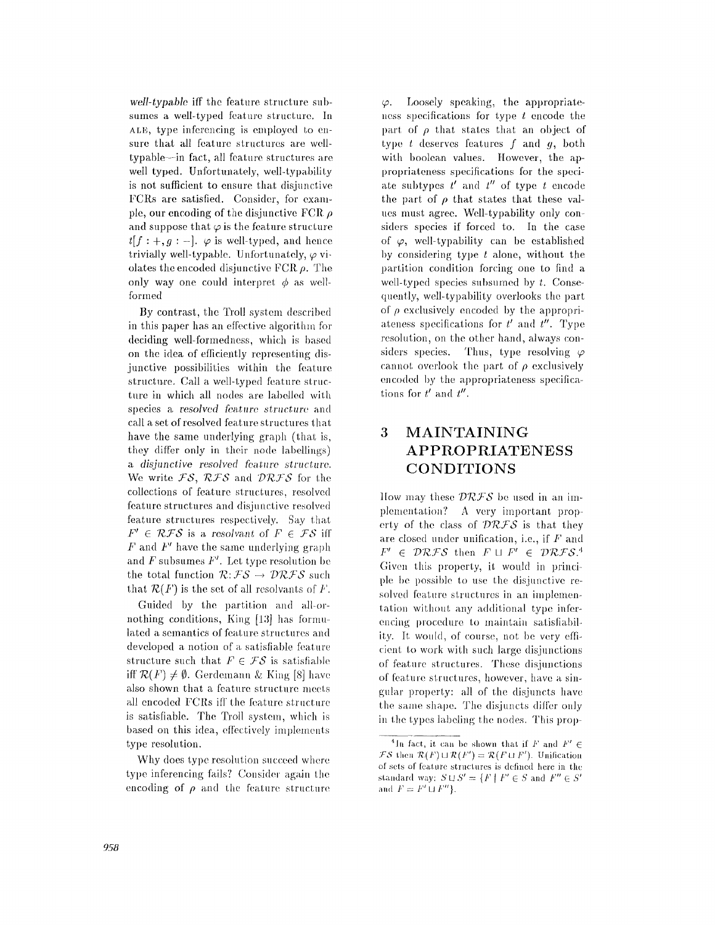*well-typable* iff the feature structure subsumes a well-typed feature structure, in ALE, type inferencing is employed to ensure that all feature structures are welltypable--in fact, all feature structures are well typed. Unfortunately, well-typability is not sufficient to ensure that disjunctive FCRs are satisfied. Consider, for example, our encoding of the disjunctive FCR  $\rho$ and suppose that  $\varphi$  is the feature structure  $t[f;+,g; -]$ .  $\varphi$  is well-typed, and hence trivially well-typable. Unfortunately,  $\varphi$  violates the encoded disjunctive FCR  $\rho$ . The only way one could interpret  $\phi$  as wellformed

By contrast, the Troll system described in this paper has an effective algorithm for deciding well-formedness, which is based on the idea of efficiently representing disjunctive possibilities within the feature structure. Call a well-typed feature structure in which all nodes are labelled with species a *resolved feature structure* and call a set of resolved feature structures that have the same underlying graph (that is, they differ only in their node labellings) *a disjunctive resolved feature structure.*  We write FS, RFS and DRFS for the collections of feature structures, resolved feature structures and disjunctive resolved feature structures respectively. Say that  $F' \in \mathcal{RFS}$  is a resolvant of  $F \in \mathcal{FS}$  iff  $F$  and  $F'$  have the same underlying graph and  $F$  subsumes  $F'$ . Let type resolution be the total function  $\mathcal{R}: \mathcal{FS} \to \mathcal{DRFS}$  such that  $\mathcal{R}(F)$  is the set of all resolvants of F.

Guided by the partition and all-ornothing conditions, King  $[13]$  has formulated a semantics of feature structures and developed a notion of a satisfiable feature structure such that  $F \in \mathcal{FS}$  is satisfiable iff  $\mathcal{R}(F) \neq \emptyset$ . Gerdemann & King [8] have also shown that a feature structure meets all encoded FCRs iff the feature structure is satisfiable. The Troll system, which is based on this idea, effectively implements type resolution.

Why does type resolution succeed where. type inferencing fails? Consider again the encoding of  $\rho$  and the feature structure

 $\varphi$ . Loosely speaking, the appropriateness specifications for type  $t$  encode the part of  $\rho$  that states that an object of type  $t$  deserves features  $f$  and  $g$ , both with boolean values. However, the appropriateness specifications for the speciate subtypes  $t'$  and  $t''$  of type  $t$  encode the part of  $\rho$  that states that these values must agree. Well-typability only considers species if forced to. In the case of  $\varphi$ , well-typability can be established by considering type  $t$  alone, without the partition condition forcing one to find a well-typed species subsumed by  $t$ . Consequently, well-typability overlooks the part of  $\rho$  exclusively encoded by the appropriateness specifications for  $t'$  and  $t''$ . Type resolution, on the other hand, always considers species. Thus, type resolving  $\varphi$ cannot overlook the part of  $\rho$  exclusively encoded by the appropriateness specifications for  $t'$  and  $t''$ .

# **3 MAINTAINING APPROPRIATENES S CONDITIONS**

How may these  $\mathcal{DRFS}$  be used in an implementation? A very important property of the class of  $\mathcal{DRFS}$  is that they are closed under unification, i.e., if  $F$  and  $F' \in \mathcal{DRFS}$  then  $F \sqcup F' \in \mathcal{DRFS}.^4$ Given this property, it would in principle be possible to use the disjunctive resolved feature structures in an implementation without any additional type inferencing procedure to maintain satisfiability. It would, of course, not be very efficient to work with such large disjunctions of feature structures. These disjunctions of feature structures, however, have a singular property: all of the disjuncts have the same shape. The disjuncts differ only in the types labeling the nodes. This prop-

<sup>&</sup>lt;sup>4</sup>In fact, it can be shown that if *F* and  $F' \in$  $\mathcal{FS}$  then  $\mathcal{R}(F) \sqcup \mathcal{R}(F') = \mathcal{R}(F \sqcup F')$ . Unification of sets of feature structures is defined here in the standard way:  $S \sqcup S' = \{F \mid F' \in S \text{ and } F'' \in S' \}$ and  $F = F' \sqcup F''$ .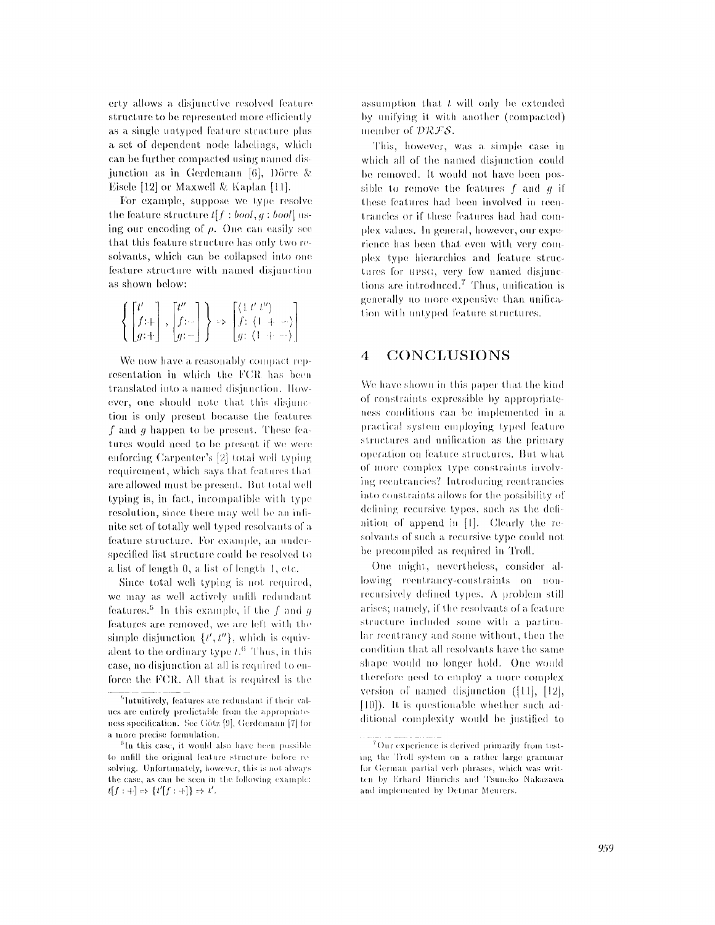erty allows a disjunctive resolved feature structure to be represented more efficiently as a single untyped feature structure plus a set of dependent node labelings, which can be further compacted using named disjunction as in Gerdemann [6], Dörre & Eisele [12] or Maxwell & Kaplan [11].

For example, suppose we type resolve the feature structure  $t[f;bool, q; bool]$  using our encoding of  $\rho$ . One can easily see that this feature structure has only two resolvants, which can be collapsed into one feature structure with named disjunction as shown below:

$$
\left\{ \begin{bmatrix} t' \\ f \colon + \\ g \colon + \end{bmatrix}, \begin{bmatrix} t'' \\ f \colon - \\ g \colon - \end{bmatrix} \right\} \Rightarrow \begin{bmatrix} \langle 1 \ t' \ t'' \rangle \\ f \colon \langle 1 + - \cdot \rangle \\ g \colon \langle 1 + \cdots \rangle \end{bmatrix}
$$

We now have a reasonably compact representation in which the FCR has been translated into a named disjunction. However, one should note that this disjunction is only present because the features f and g happen to be present. These features would need to be present if we were enforcing Carpenter's [2] total well typing requirement, which says that features that are allowed must be present. But total well typing is, in fact, incompatible with type resolution, since there may well be an infinite set of totally well typed resolvants of a feature structure. For example, an underspecified list structure could be resolved to a list of length 0, a list of length 1, etc.

Since total well typing is not required, we may as well actively unfill redundant features.<sup>5</sup> In this example, if the f and g features are removed, we are left with the simple disjunction  $\{t', t''\}$ , which is equivalent to the ordinary type  $t<sup>6</sup>$ . Thus, in this case, no disjunction at all is required to enforce the FCR. All that is required is the assumption that  $t$  will only be extended by unifying it with another (compacted) member of DRFS.

This, however, was a simple case in which all of the named disjunction could be removed. It would not have been possible to remove the features  $f$  and  $g$  if these features had been involved in reentrancies or if these features had had complex values. In general, however, our experience has been that even with very complex type hierarchies and feature structures for upsc, very few named disjunctions are introduced.<sup>7</sup> Thus, unification is generally no more expensive than unification with untyped feature structures.

#### 4 CONCLUSIONS

We have shown in this paper that the kind of constraints expressible by appropriateness conditions can be implemented in a practical system employing typed feature structures and unification as the primary operation on feature structures. But what of more complex type constraints involving reentrancies? Introducing reentrancies into constraints allows for the possibility of defining recursive types, such as the definition of append in [1]. Clearly the resolvants of such a recursive type could not be precompiled as required in Troll.

One might, nevertheless, consider allowing reentrancy-constraints on nonrecursively defined types. A problem still arises: namely, if the resolvants of a feature structure included some with a particular reentrancy and some without, then the condition that all resolvants have the same shape would no longer hold. One would therefore need to employ a more complex version of named disjunction  $([11], [12],$ [10]). It is questionable whether such additional complexity would be justified to

<sup>&</sup>lt;sup>5</sup>Intuitively, features are redundant if their values are entirely predictable from the appropriateness specification. See Götz [9], Gerdemann [7] for a more precise formulation.

 ${}^{6}$ In this case, it would also have been possible to unfill the original feature structure before resolving. Unfortunately, however, this is not always the case, as can be seen in the following example:  $t[f : +] \Rightarrow \{t'[f : +]\} \Rightarrow t'.$ 

<sup>&</sup>lt;sup>7</sup>Our experience is derived primarily from testing the Troll system on a rather large grammar for German partial verb phrases, which was written by Erhard Hinrichs and Tsuneko Nakazawa and implemented by Detmar Meurers.